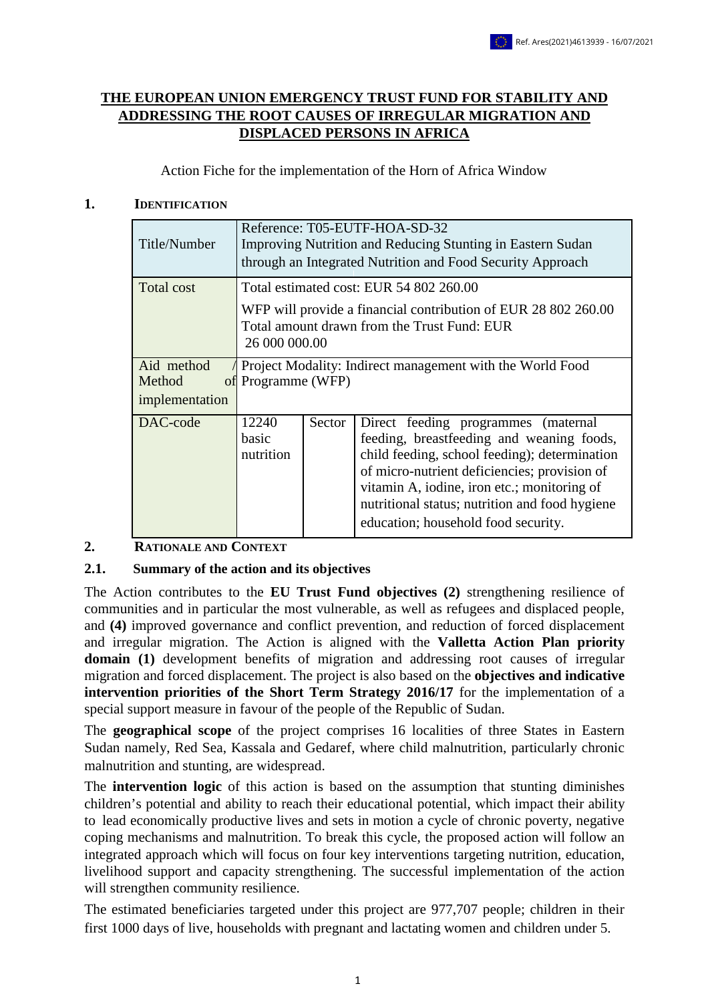### **THE EUROPEAN UNION EMERGENCY TRUST FUND FOR STABILITY AND ADDRESSING THE ROOT CAUSES OF IRREGULAR MIGRATION AND DISPLACED PERSONS IN AFRICA**

Action Fiche for the implementation of the Horn of Africa Window

#### **1. IDENTIFICATION**

| Title/Number         | Reference: T05-EUTF-HOA-SD-32<br>Improving Nutrition and Reducing Stunting in Eastern Sudan<br>through an Integrated Nutrition and Food Security Approach |        |                                                                                                                                                                                                                                                                                                                               |  |  |  |
|----------------------|-----------------------------------------------------------------------------------------------------------------------------------------------------------|--------|-------------------------------------------------------------------------------------------------------------------------------------------------------------------------------------------------------------------------------------------------------------------------------------------------------------------------------|--|--|--|
| Total cost           |                                                                                                                                                           |        | Total estimated cost: EUR 54 802 260.00                                                                                                                                                                                                                                                                                       |  |  |  |
|                      | WFP will provide a financial contribution of EUR 28 802 260.00<br>Total amount drawn from the Trust Fund: EUR<br>26 000 000.00                            |        |                                                                                                                                                                                                                                                                                                                               |  |  |  |
| Aid method<br>Method | Project Modality: Indirect management with the World Food<br>of Programme (WFP)                                                                           |        |                                                                                                                                                                                                                                                                                                                               |  |  |  |
| implementation       |                                                                                                                                                           |        |                                                                                                                                                                                                                                                                                                                               |  |  |  |
| DAC-code             | 12240<br>basic<br>nutrition                                                                                                                               | Sector | Direct feeding programmes<br>(maternal)<br>feeding, breastfeeding and weaning foods,<br>child feeding, school feeding); determination<br>of micro-nutrient deficiencies; provision of<br>vitamin A, iodine, iron etc.; monitoring of<br>nutritional status; nutrition and food hygiene<br>education; household food security. |  |  |  |

### **2. RATIONALE AND CONTEXT**

### **2.1. Summary of the action and its objectives**

The Action contributes to the **EU Trust Fund objectives (2)** strengthening resilience of communities and in particular the most vulnerable, as well as refugees and displaced people, and **(4)** improved governance and conflict prevention, and reduction of forced displacement and irregular migration. The Action is aligned with the **Valletta Action Plan priority domain** (1) development benefits of migration and addressing root causes of irregular migration and forced displacement. The project is also based on the **objectives and indicative intervention priorities of the Short Term Strategy 2016/17** for the implementation of a special support measure in favour of the people of the Republic of Sudan.

The **geographical scope** of the project comprises 16 localities of three States in Eastern Sudan namely, Red Sea, Kassala and Gedaref, where child malnutrition, particularly chronic malnutrition and stunting, are widespread.

The **intervention logic** of this action is based on the assumption that stunting diminishes children's potential and ability to reach their educational potential, which impact their ability to lead economically productive lives and sets in motion a cycle of chronic poverty, negative coping mechanisms and malnutrition. To break this cycle, the proposed action will follow an integrated approach which will focus on four key interventions targeting nutrition, education, livelihood support and capacity strengthening. The successful implementation of the action will strengthen community resilience.

The estimated beneficiaries targeted under this project are 977,707 people; children in their first 1000 days of live, households with pregnant and lactating women and children under 5.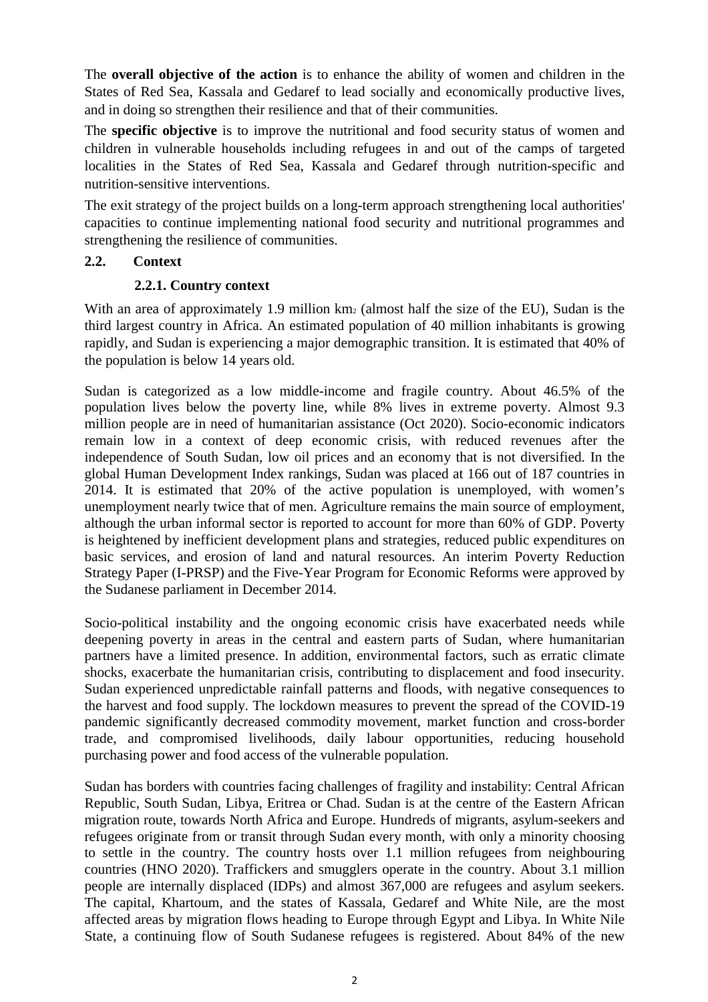The **overall objective of the action** is to enhance the ability of women and children in the States of Red Sea, Kassala and Gedaref to lead socially and economically productive lives, and in doing so strengthen their resilience and that of their communities.

The **specific objective** is to improve the nutritional and food security status of women and children in vulnerable households including refugees in and out of the camps of targeted localities in the States of Red Sea, Kassala and Gedaref through nutrition-specific and nutrition-sensitive interventions.

The exit strategy of the project builds on a long-term approach strengthening local authorities' capacities to continue implementing national food security and nutritional programmes and strengthening the resilience of communities.

### **2.2. Context**

### **2.2.1. Country context**

With an area of approximately 1.9 million  $km<sub>2</sub>$  (almost half the size of the EU), Sudan is the third largest country in Africa. An estimated population of 40 million inhabitants is growing rapidly, and Sudan is experiencing a major demographic transition. It is estimated that 40% of the population is below 14 years old.

Sudan is categorized as a low middle-income and fragile country. About 46.5% of the population lives below the poverty line, while 8% lives in extreme poverty. Almost 9.3 million people are in need of humanitarian assistance (Oct 2020). Socio-economic indicators remain low in a context of deep economic crisis, with reduced revenues after the independence of South Sudan, low oil prices and an economy that is not diversified. In the global Human Development Index rankings, Sudan was placed at 166 out of 187 countries in 2014. It is estimated that 20% of the active population is unemployed, with women's unemployment nearly twice that of men. Agriculture remains the main source of employment, although the urban informal sector is reported to account for more than 60% of GDP. Poverty is heightened by inefficient development plans and strategies, reduced public expenditures on basic services, and erosion of land and natural resources. An interim Poverty Reduction Strategy Paper (I-PRSP) and the Five-Year Program for Economic Reforms were approved by the Sudanese parliament in December 2014.

Socio-political instability and the ongoing economic crisis have exacerbated needs while deepening poverty in areas in the central and eastern parts of Sudan, where humanitarian partners have a limited presence. In addition, environmental factors, such as erratic climate shocks, exacerbate the humanitarian crisis, contributing to displacement and food insecurity. Sudan experienced unpredictable rainfall patterns and floods, with negative consequences to the harvest and food supply. The lockdown measures to prevent the spread of the COVID-19 pandemic significantly decreased commodity movement, market function and cross-border trade, and compromised livelihoods, daily labour opportunities, reducing household purchasing power and food access of the vulnerable population.

Sudan has borders with countries facing challenges of fragility and instability: Central African Republic, South Sudan, Libya, Eritrea or Chad. Sudan is at the centre of the Eastern African migration route, towards North Africa and Europe. Hundreds of migrants, asylum-seekers and refugees originate from or transit through Sudan every month, with only a minority choosing to settle in the country. The country hosts over 1.1 million refugees from neighbouring countries (HNO 2020). Traffickers and smugglers operate in the country. About 3.1 million people are internally displaced (IDPs) and almost 367,000 are refugees and asylum seekers. The capital, Khartoum, and the states of Kassala, Gedaref and White Nile, are the most affected areas by migration flows heading to Europe through Egypt and Libya. In White Nile State, a continuing flow of South Sudanese refugees is registered. About 84% of the new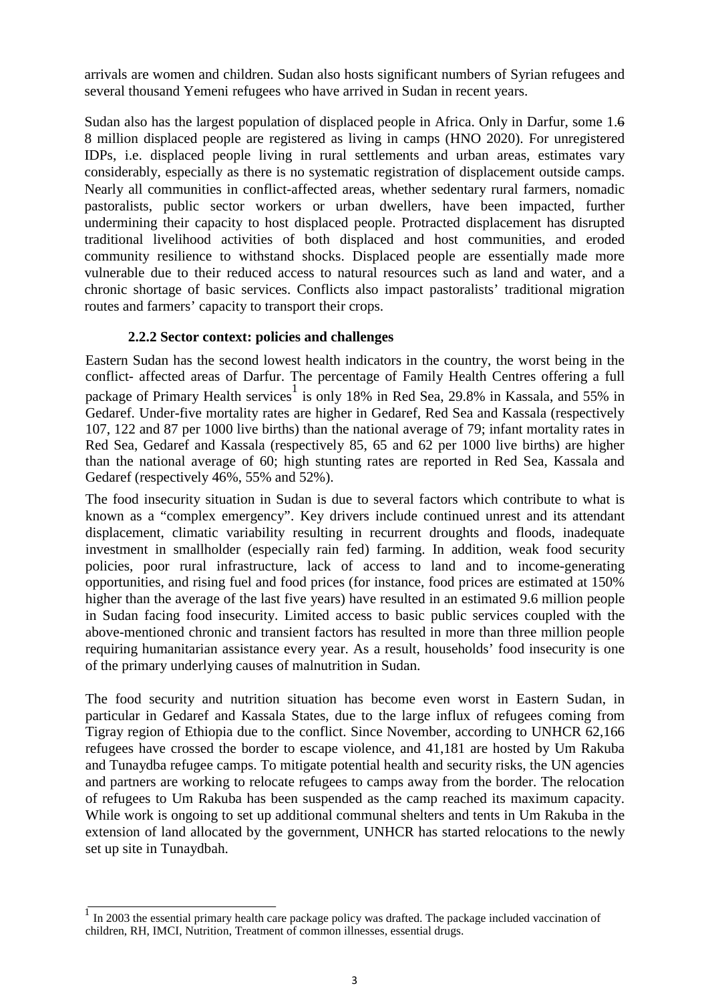arrivals are women and children. Sudan also hosts significant numbers of Syrian refugees and several thousand Yemeni refugees who have arrived in Sudan in recent years.

Sudan also has the largest population of displaced people in Africa. Only in Darfur, some 1.6 8 million displaced people are registered as living in camps (HNO 2020). For unregistered IDPs, i.e. displaced people living in rural settlements and urban areas, estimates vary considerably, especially as there is no systematic registration of displacement outside camps. Nearly all communities in conflict-affected areas, whether sedentary rural farmers, nomadic pastoralists, public sector workers or urban dwellers, have been impacted, further undermining their capacity to host displaced people. Protracted displacement has disrupted traditional livelihood activities of both displaced and host communities, and eroded community resilience to withstand shocks. Displaced people are essentially made more vulnerable due to their reduced access to natural resources such as land and water, and a chronic shortage of basic services. Conflicts also impact pastoralists' traditional migration routes and farmers' capacity to transport their crops.

### **2.2.2 Sector context: policies and challenges**

Eastern Sudan has the second lowest health indicators in the country, the worst being in the conflict- affected areas of Darfur. The percentage of Family Health Centres offering a full package of Primary Health services<sup>1</sup> is only 18% in Red Sea, 29.8% in Kassala, and 55% in Gedaref. Under-five mortality rates are higher in Gedaref, Red Sea and Kassala (respectively 107, 122 and 87 per 1000 live births) than the national average of 79; infant mortality rates in Red Sea, Gedaref and Kassala (respectively 85, 65 and 62 per 1000 live births) are higher than the national average of 60; high stunting rates are reported in Red Sea, Kassala and Gedaref (respectively 46%, 55% and 52%).

The food insecurity situation in Sudan is due to several factors which contribute to what is known as a "complex emergency". Key drivers include continued unrest and its attendant displacement, climatic variability resulting in recurrent droughts and floods, inadequate investment in smallholder (especially rain fed) farming. In addition, weak food security policies, poor rural infrastructure, lack of access to land and to income-generating opportunities, and rising fuel and food prices (for instance, food prices are estimated at 150% higher than the average of the last five years) have resulted in an estimated 9.6 million people in Sudan facing food insecurity. Limited access to basic public services coupled with the above-mentioned chronic and transient factors has resulted in more than three million people requiring humanitarian assistance every year. As a result, households' food insecurity is one of the primary underlying causes of malnutrition in Sudan.

The food security and nutrition situation has become even worst in Eastern Sudan, in particular in Gedaref and Kassala States, due to the large influx of refugees coming from Tigray region of Ethiopia due to the conflict. Since November, according to UNHCR 62,166 refugees have crossed the border to escape violence, and 41,181 are hosted by Um Rakuba and Tunaydba refugee camps. To mitigate potential health and security risks, the UN agencies and partners are working to relocate refugees to camps away from the border. The relocation of refugees to Um Rakuba has been suspended as the camp reached its maximum capacity. While work is ongoing to set up additional communal shelters and tents in Um Rakuba in the extension of land allocated by the government, UNHCR has started relocations to the newly set up site in Tunaydbah.

In 2003 the essential primary health care package policy was drafted. The package included vaccination of children, RH, IMCI, Nutrition, Treatment of common illnesses, essential drugs.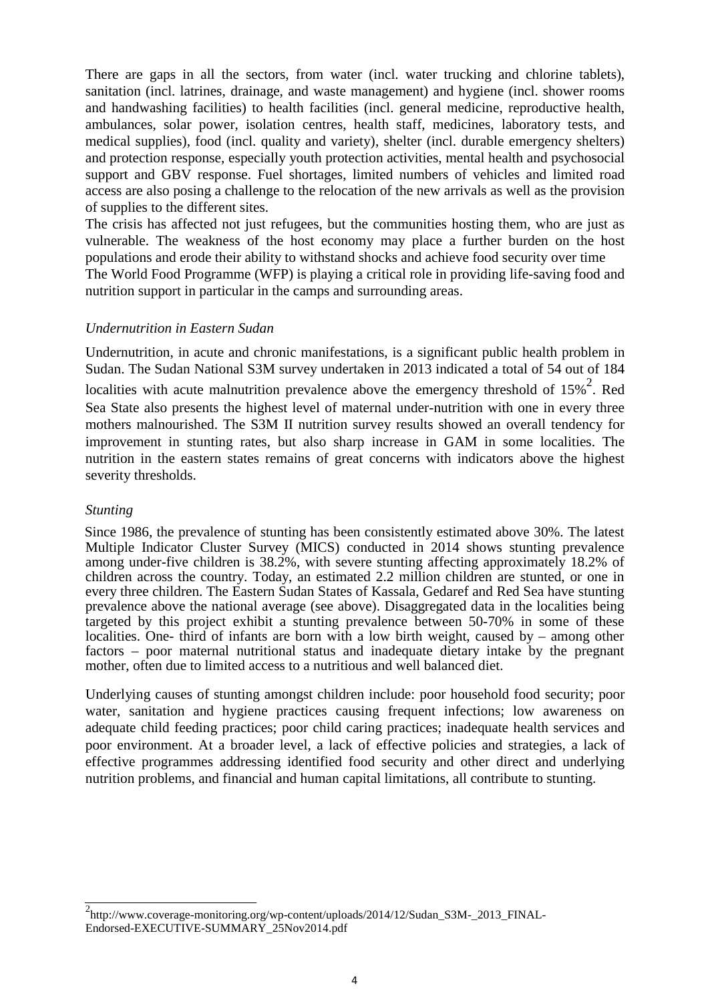There are gaps in all the sectors, from water (incl. water trucking and chlorine tablets), sanitation (incl. latrines, drainage, and waste management) and hygiene (incl. shower rooms and handwashing facilities) to health facilities (incl. general medicine, reproductive health, ambulances, solar power, isolation centres, health staff, medicines, laboratory tests, and medical supplies), food (incl. quality and variety), shelter (incl. durable emergency shelters) and protection response, especially youth protection activities, mental health and psychosocial support and GBV response. Fuel shortages, limited numbers of vehicles and limited road access are also posing a challenge to the relocation of the new arrivals as well as the provision of supplies to the different sites.

The crisis has affected not just refugees, but the communities hosting them, who are just as vulnerable. The weakness of the host economy may place a further burden on the host populations and erode their ability to withstand shocks and achieve food security over time

The World Food Programme (WFP) is playing a critical role in providing life-saving food and nutrition support in particular in the camps and surrounding areas.

#### *Undernutrition in Eastern Sudan*

Undernutrition, in acute and chronic manifestations, is a significant public health problem in Sudan. The Sudan National S3M survey undertaken in 2013 indicated a total of 54 out of 184 localities with acute malnutrition prevalence above the emergency threshold of  $15\%$ <sup>2</sup>. Red Sea State also presents the highest level of maternal under-nutrition with one in every three mothers malnourished. The S3M II nutrition survey results showed an overall tendency for improvement in stunting rates, but also sharp increase in GAM in some localities. The nutrition in the eastern states remains of great concerns with indicators above the highest severity thresholds.

#### *Stunting*

Since 1986, the prevalence of stunting has been consistently estimated above 30%. The latest Multiple Indicator Cluster Survey (MICS) conducted in 2014 shows stunting prevalence among under-five children is 38.2%, with severe stunting affecting approximately 18.2% of children across the country. Today, an estimated 2.2 million children are stunted, or one in every three children. The Eastern Sudan States of Kassala, Gedaref and Red Sea have stunting prevalence above the national average (see above). Disaggregated data in the localities being targeted by this project exhibit a stunting prevalence between 50-70% in some of these localities. One- third of infants are born with a low birth weight, caused by – among other factors – poor maternal nutritional status and inadequate dietary intake by the pregnant mother, often due to limited access to a nutritious and well balanced diet.

Underlying causes of stunting amongst children include: poor household food security; poor water, sanitation and hygiene practices causing frequent infections; low awareness on adequate child feeding practices; poor child caring practices; inadequate health services and poor environment. At a broader level, a lack of effective policies and strategies, a lack of effective programmes addressing identified food security and other direct and underlying nutrition problems, and financial and human capital limitations, all contribute to stunting.

<sup>&</sup>lt;sup>2</sup>http://www.coverage-monitoring.org/wp-content/uploads/2014/12/Sudan\_S3M-\_2013\_FINAL-Endorsed-EXECUTIVE-SUMMARY\_25Nov2014.pdf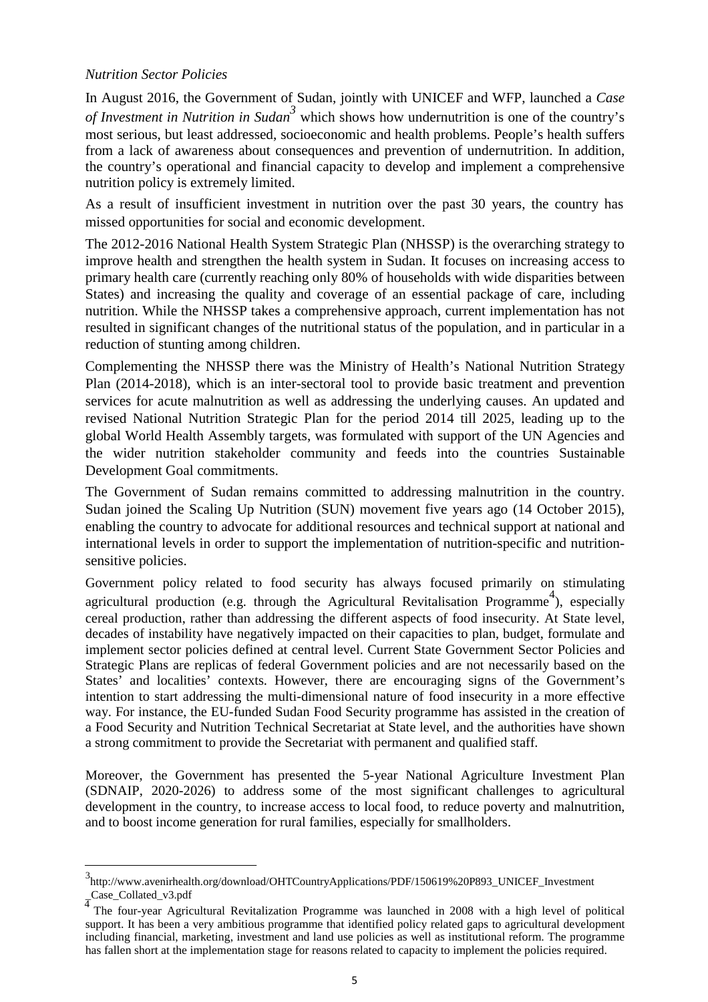#### *Nutrition Sector Policies*

In August 2016, the Government of Sudan, jointly with UNICEF and WFP, launched a *Case of Investment in Nutrition in Sudan3* which shows how undernutrition is one of the country's most serious, but least addressed, socioeconomic and health problems. People's health suffers from a lack of awareness about consequences and prevention of undernutrition. In addition, the country's operational and financial capacity to develop and implement a comprehensive nutrition policy is extremely limited.

As a result of insufficient investment in nutrition over the past 30 years, the country has missed opportunities for social and economic development.

The 2012-2016 National Health System Strategic Plan (NHSSP) is the overarching strategy to improve health and strengthen the health system in Sudan. It focuses on increasing access to primary health care (currently reaching only 80% of households with wide disparities between States) and increasing the quality and coverage of an essential package of care, including nutrition. While the NHSSP takes a comprehensive approach, current implementation has not resulted in significant changes of the nutritional status of the population, and in particular in a reduction of stunting among children.

Complementing the NHSSP there was the Ministry of Health's National Nutrition Strategy Plan (2014-2018), which is an inter-sectoral tool to provide basic treatment and prevention services for acute malnutrition as well as addressing the underlying causes. An updated and revised National Nutrition Strategic Plan for the period 2014 till 2025, leading up to the global World Health Assembly targets, was formulated with support of the UN Agencies and the wider nutrition stakeholder community and feeds into the countries Sustainable Development Goal commitments.

The Government of Sudan remains committed to addressing malnutrition in the country. Sudan joined the Scaling Up Nutrition (SUN) movement five years ago (14 October 2015), enabling the country to advocate for additional resources and technical support at national and international levels in order to support the implementation of nutrition-specific and nutritionsensitive policies.

Government policy related to food security has always focused primarily on stimulating agricultural production (e.g. through the Agricultural Revitalisation Programme<sup>4</sup>), especially cereal production, rather than addressing the different aspects of food insecurity. At State level, decades of instability have negatively impacted on their capacities to plan, budget, formulate and implement sector policies defined at central level. Current State Government Sector Policies and Strategic Plans are replicas of federal Government policies and are not necessarily based on the States' and localities' contexts. However, there are encouraging signs of the Government's intention to start addressing the multi-dimensional nature of food insecurity in a more effective way. For instance, the EU-funded Sudan Food Security programme has assisted in the creation of a Food Security and Nutrition Technical Secretariat at State level, and the authorities have shown a strong commitment to provide the Secretariat with permanent and qualified staff.

Moreover, the Government has presented the 5-year National Agriculture Investment Plan (SDNAIP, 2020-2026) to address some of the most significant challenges to agricultural development in the country, to increase access to local food, to reduce poverty and malnutrition, and to boost income generation for rural families, especially for smallholders.

<sup>3&</sup>lt;br>http://www.avenirhealth.org/download/OHTCountryApplications/PDF/150619%20P893\_UNICEF\_Investment  $\frac{1}{4}$ Case\_Collated\_v3.pdf

<sup>4</sup> The four-year Agricultural Revitalization Programme was launched in 2008 with a high level of political support. It has been a very ambitious programme that identified policy related gaps to agricultural development including financial, marketing, investment and land use policies as well as institutional reform. The programme has fallen short at the implementation stage for reasons related to capacity to implement the policies required.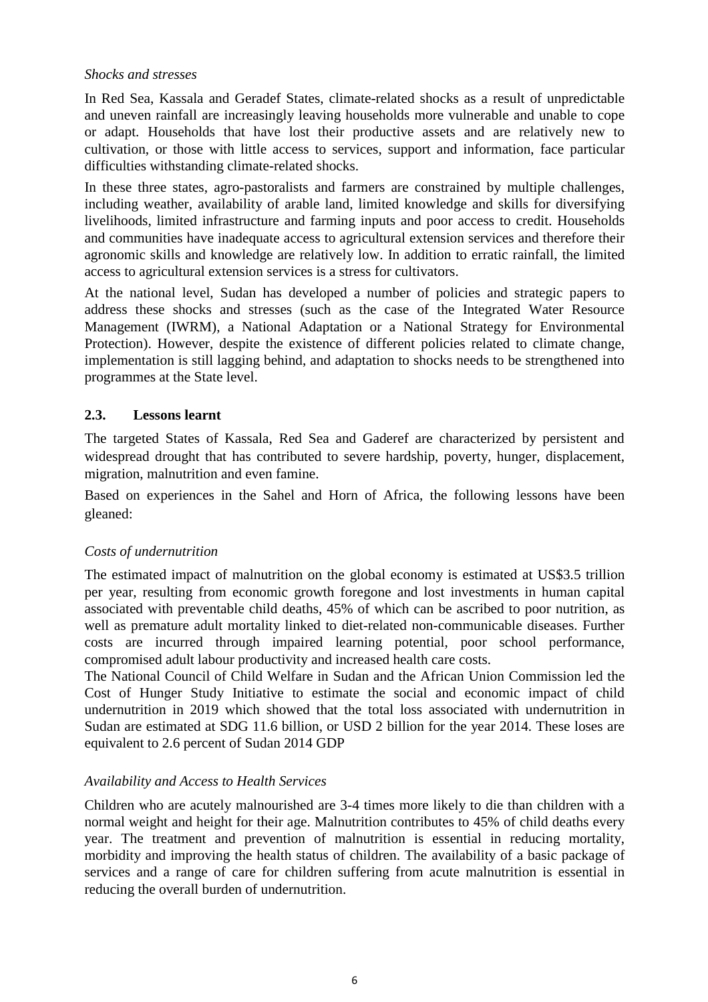#### *Shocks and stresses*

In Red Sea, Kassala and Geradef States, climate-related shocks as a result of unpredictable and uneven rainfall are increasingly leaving households more vulnerable and unable to cope or adapt. Households that have lost their productive assets and are relatively new to cultivation, or those with little access to services, support and information, face particular difficulties withstanding climate-related shocks.

In these three states, agro-pastoralists and farmers are constrained by multiple challenges, including weather, availability of arable land, limited knowledge and skills for diversifying livelihoods, limited infrastructure and farming inputs and poor access to credit. Households and communities have inadequate access to agricultural extension services and therefore their agronomic skills and knowledge are relatively low. In addition to erratic rainfall, the limited access to agricultural extension services is a stress for cultivators.

At the national level, Sudan has developed a number of policies and strategic papers to address these shocks and stresses (such as the case of the Integrated Water Resource Management (IWRM), a National Adaptation or a National Strategy for Environmental Protection). However, despite the existence of different policies related to climate change, implementation is still lagging behind, and adaptation to shocks needs to be strengthened into programmes at the State level.

### **2.3. Lessons learnt**

The targeted States of Kassala, Red Sea and Gaderef are characterized by persistent and widespread drought that has contributed to severe hardship, poverty, hunger, displacement, migration, malnutrition and even famine.

Based on experiences in the Sahel and Horn of Africa, the following lessons have been gleaned:

### *Costs of undernutrition*

The estimated impact of malnutrition on the global economy is estimated at US\$3.5 trillion per year, resulting from economic growth foregone and lost investments in human capital associated with preventable child deaths, 45% of which can be ascribed to poor nutrition, as well as premature adult mortality linked to diet-related non-communicable diseases. Further costs are incurred through impaired learning potential, poor school performance, compromised adult labour productivity and increased health care costs.

The National Council of Child Welfare in Sudan and the African Union Commission led the Cost of Hunger Study Initiative to estimate the social and economic impact of child undernutrition in 2019 which showed that the total loss associated with undernutrition in Sudan are estimated at SDG 11.6 billion, or USD 2 billion for the year 2014. These loses are equivalent to 2.6 percent of Sudan 2014 GDP

### *Availability and Access to Health Services*

Children who are acutely malnourished are 3-4 times more likely to die than children with a normal weight and height for their age. Malnutrition contributes to 45% of child deaths every year. The treatment and prevention of malnutrition is essential in reducing mortality, morbidity and improving the health status of children. The availability of a basic package of services and a range of care for children suffering from acute malnutrition is essential in reducing the overall burden of undernutrition.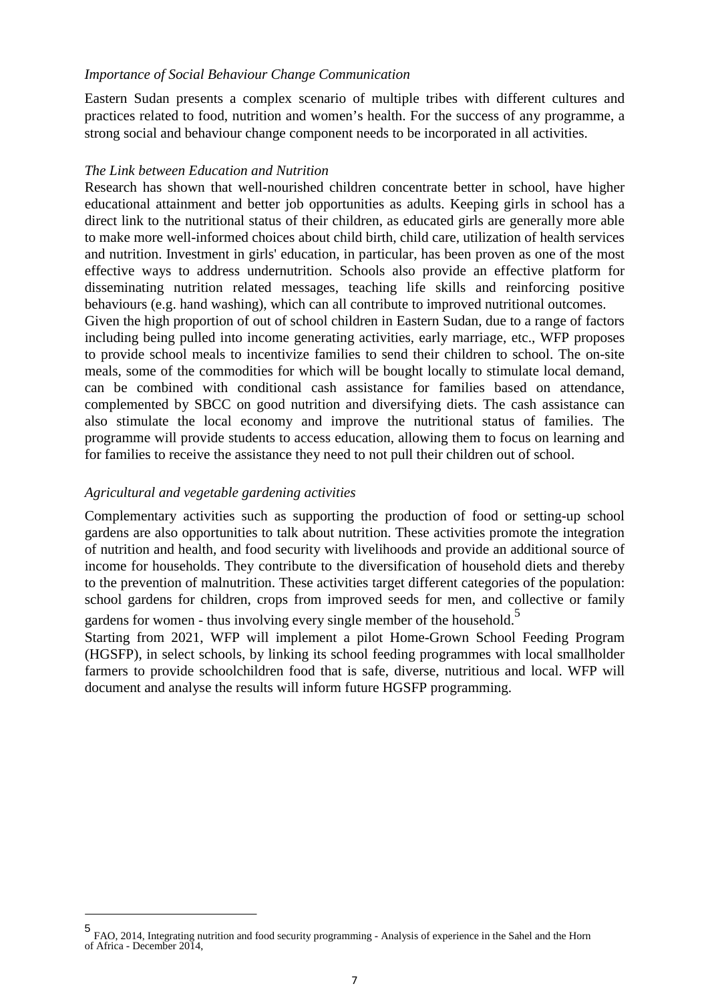#### *Importance of Social Behaviour Change Communication*

Eastern Sudan presents a complex scenario of multiple tribes with different cultures and practices related to food, nutrition and women's health. For the success of any programme, a strong social and behaviour change component needs to be incorporated in all activities.

#### *The Link between Education and Nutrition*

Research has shown that well-nourished children concentrate better in school, have higher educational attainment and better job opportunities as adults. Keeping girls in school has a direct link to the nutritional status of their children, as educated girls are generally more able to make more well-informed choices about child birth, child care, utilization of health services and nutrition. Investment in girls' education, in particular, has been proven as one of the most effective ways to address undernutrition. Schools also provide an effective platform for disseminating nutrition related messages, teaching life skills and reinforcing positive behaviours (e.g. hand washing), which can all contribute to improved nutritional outcomes.

Given the high proportion of out of school children in Eastern Sudan, due to a range of factors including being pulled into income generating activities, early marriage, etc., WFP proposes to provide school meals to incentivize families to send their children to school. The on-site meals, some of the commodities for which will be bought locally to stimulate local demand, can be combined with conditional cash assistance for families based on attendance, complemented by SBCC on good nutrition and diversifying diets. The cash assistance can also stimulate the local economy and improve the nutritional status of families. The programme will provide students to access education, allowing them to focus on learning and for families to receive the assistance they need to not pull their children out of school.

#### *Agricultural and vegetable gardening activities*

Complementary activities such as supporting the production of food or setting-up school gardens are also opportunities to talk about nutrition. These activities promote the integration of nutrition and health, and food security with livelihoods and provide an additional source of income for households. They contribute to the diversification of household diets and thereby to the prevention of malnutrition. These activities target different categories of the population: school gardens for children, crops from improved seeds for men, and collective or family gardens for women - thus involving every single member of the household.<sup>5</sup>

Starting from 2021, WFP will implement a pilot Home-Grown School Feeding Program (HGSFP), in select schools, by linking its school feeding programmes with local smallholder farmers to provide schoolchildren food that is safe, diverse, nutritious and local. WFP will document and analyse the results will inform future HGSFP programming.

<sup>5</sup> FAO, 2014, Integrating nutrition and food security programming - Analysis of experience in the Sahel and the Horn of Africa - December 2014,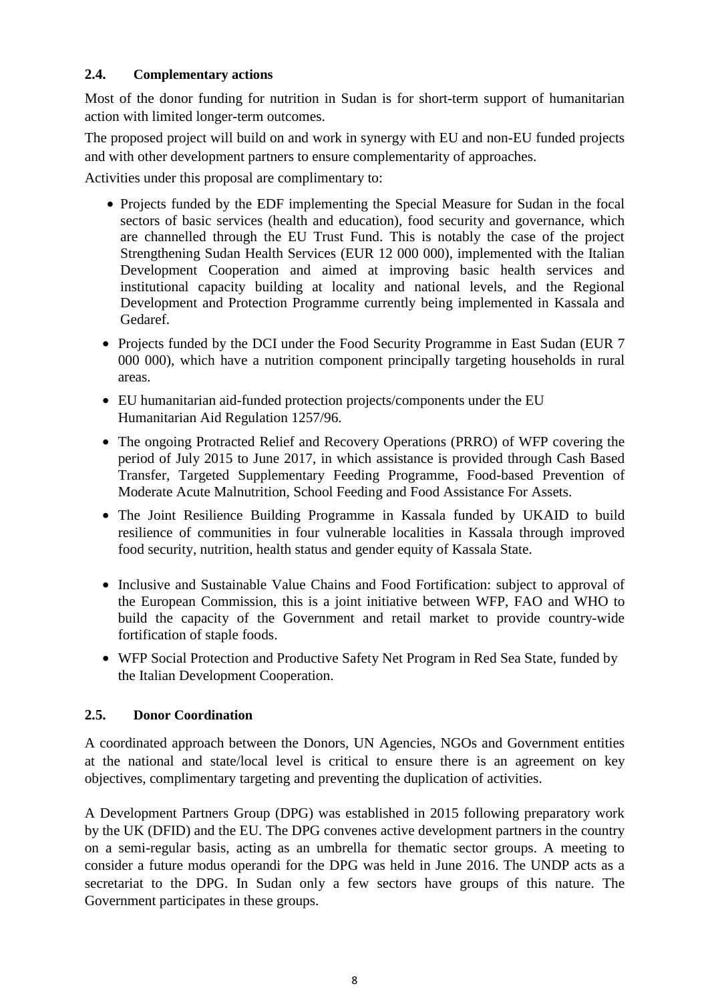### **2.4. Complementary actions**

Most of the donor funding for nutrition in Sudan is for short-term support of humanitarian action with limited longer-term outcomes.

The proposed project will build on and work in synergy with EU and non-EU funded projects and with other development partners to ensure complementarity of approaches.

Activities under this proposal are complimentary to:

- Projects funded by the EDF implementing the Special Measure for Sudan in the focal sectors of basic services (health and education), food security and governance, which are channelled through the EU Trust Fund. This is notably the case of the project Strengthening Sudan Health Services (EUR 12 000 000), implemented with the Italian Development Cooperation and aimed at improving basic health services and institutional capacity building at locality and national levels, and the Regional Development and Protection Programme currently being implemented in Kassala and Gedaref.
- Projects funded by the DCI under the Food Security Programme in East Sudan (EUR 7 000 000), which have a nutrition component principally targeting households in rural areas.
- EU humanitarian aid-funded protection projects/components under the EU Humanitarian Aid Regulation 1257/96.
- The ongoing Protracted Relief and Recovery Operations (PRRO) of WFP covering the period of July 2015 to June 2017, in which assistance is provided through Cash Based Transfer, Targeted Supplementary Feeding Programme, Food-based Prevention of Moderate Acute Malnutrition, School Feeding and Food Assistance For Assets.
- The Joint Resilience Building Programme in Kassala funded by UKAID to build resilience of communities in four vulnerable localities in Kassala through improved food security, nutrition, health status and gender equity of Kassala State.
- Inclusive and Sustainable Value Chains and Food Fortification: subject to approval of the European Commission, this is a joint initiative between WFP, FAO and WHO to build the capacity of the Government and retail market to provide country-wide fortification of staple foods.
- WFP Social Protection and Productive Safety Net Program in Red Sea State, funded by the Italian Development Cooperation.

# **2.5. Donor Coordination**

A coordinated approach between the Donors, UN Agencies, NGOs and Government entities at the national and state/local level is critical to ensure there is an agreement on key objectives, complimentary targeting and preventing the duplication of activities.

A Development Partners Group (DPG) was established in 2015 following preparatory work by the UK (DFID) and the EU. The DPG convenes active development partners in the country on a semi-regular basis, acting as an umbrella for thematic sector groups. A meeting to consider a future modus operandi for the DPG was held in June 2016. The UNDP acts as a secretariat to the DPG. In Sudan only a few sectors have groups of this nature. The Government participates in these groups.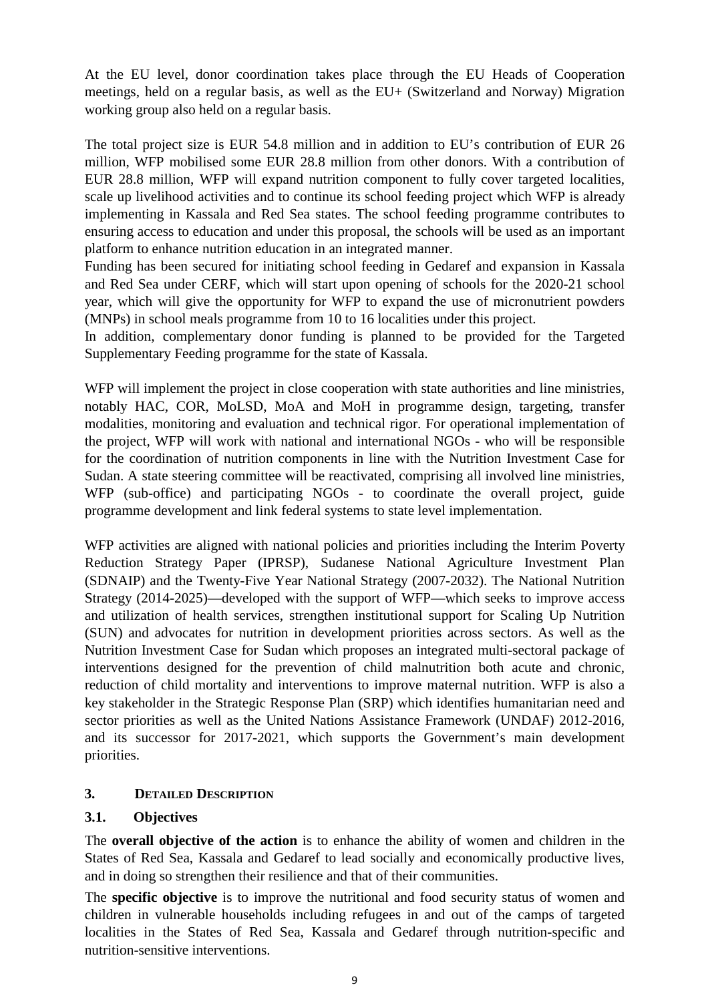At the EU level, donor coordination takes place through the EU Heads of Cooperation meetings, held on a regular basis, as well as the EU+ (Switzerland and Norway) Migration working group also held on a regular basis.

The total project size is EUR 54.8 million and in addition to EU's contribution of EUR 26 million, WFP mobilised some EUR 28.8 million from other donors. With a contribution of EUR 28.8 million, WFP will expand nutrition component to fully cover targeted localities, scale up livelihood activities and to continue its school feeding project which WFP is already implementing in Kassala and Red Sea states. The school feeding programme contributes to ensuring access to education and under this proposal, the schools will be used as an important platform to enhance nutrition education in an integrated manner.

Funding has been secured for initiating school feeding in Gedaref and expansion in Kassala and Red Sea under CERF, which will start upon opening of schools for the 2020-21 school year, which will give the opportunity for WFP to expand the use of micronutrient powders (MNPs) in school meals programme from 10 to 16 localities under this project.

In addition, complementary donor funding is planned to be provided for the Targeted Supplementary Feeding programme for the state of Kassala.

WFP will implement the project in close cooperation with state authorities and line ministries, notably HAC, COR, MoLSD, MoA and MoH in programme design, targeting, transfer modalities, monitoring and evaluation and technical rigor. For operational implementation of the project, WFP will work with national and international NGOs - who will be responsible for the coordination of nutrition components in line with the Nutrition Investment Case for Sudan. A state steering committee will be reactivated, comprising all involved line ministries, WFP (sub-office) and participating NGOs - to coordinate the overall project, guide programme development and link federal systems to state level implementation.

WFP activities are aligned with national policies and priorities including the Interim Poverty Reduction Strategy Paper (IPRSP), Sudanese National Agriculture Investment Plan (SDNAIP) and the Twenty-Five Year National Strategy (2007-2032). The National Nutrition Strategy (2014-2025)—developed with the support of WFP—which seeks to improve access and utilization of health services, strengthen institutional support for Scaling Up Nutrition (SUN) and advocates for nutrition in development priorities across sectors. As well as the Nutrition Investment Case for Sudan which proposes an integrated multi-sectoral package of interventions designed for the prevention of child malnutrition both acute and chronic, reduction of child mortality and interventions to improve maternal nutrition. WFP is also a key stakeholder in the Strategic Response Plan (SRP) which identifies humanitarian need and sector priorities as well as the United Nations Assistance Framework (UNDAF) 2012-2016, and its successor for 2017-2021, which supports the Government's main development priorities.

### **3. DETAILED DESCRIPTION**

# **3.1. Objectives**

The **overall objective of the action** is to enhance the ability of women and children in the States of Red Sea, Kassala and Gedaref to lead socially and economically productive lives, and in doing so strengthen their resilience and that of their communities.

The **specific objective** is to improve the nutritional and food security status of women and children in vulnerable households including refugees in and out of the camps of targeted localities in the States of Red Sea, Kassala and Gedaref through nutrition-specific and nutrition-sensitive interventions.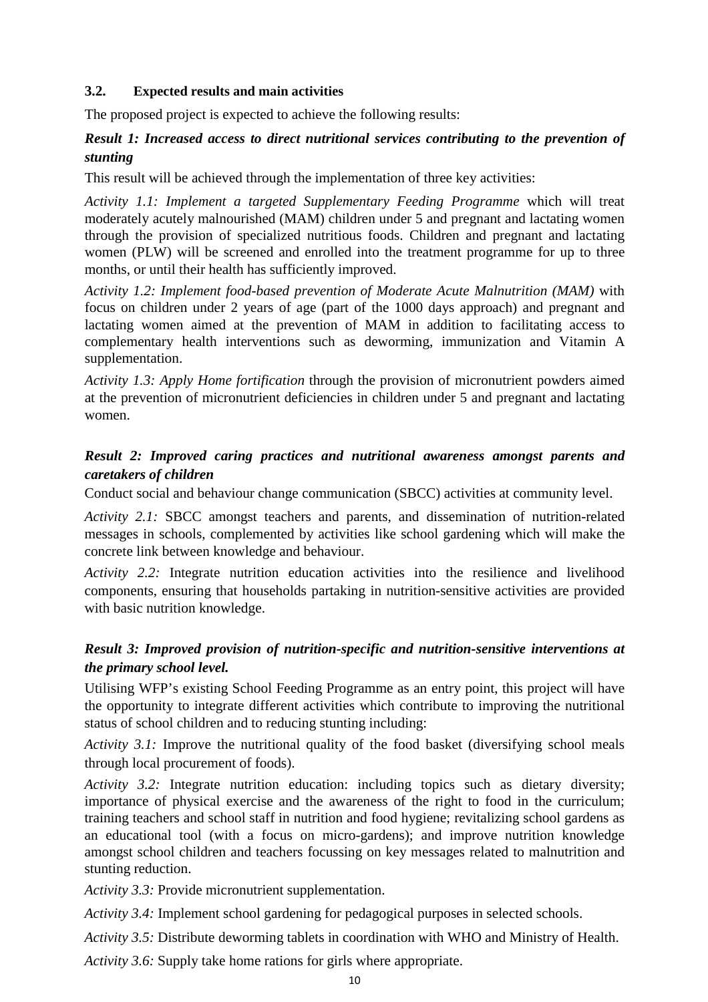#### **3.2. Expected results and main activities**

The proposed project is expected to achieve the following results:

# *Result 1: Increased access to direct nutritional services contributing to the prevention of stunting*

This result will be achieved through the implementation of three key activities:

*Activity 1.1: Implement a targeted Supplementary Feeding Programme* which will treat moderately acutely malnourished (MAM) children under 5 and pregnant and lactating women through the provision of specialized nutritious foods. Children and pregnant and lactating women (PLW) will be screened and enrolled into the treatment programme for up to three months, or until their health has sufficiently improved.

*Activity 1.2: Implement food-based prevention of Moderate Acute Malnutrition (MAM)* with focus on children under 2 years of age (part of the 1000 days approach) and pregnant and lactating women aimed at the prevention of MAM in addition to facilitating access to complementary health interventions such as deworming, immunization and Vitamin A supplementation.

*Activity 1.3: Apply Home fortification* through the provision of micronutrient powders aimed at the prevention of micronutrient deficiencies in children under 5 and pregnant and lactating women.

# *Result 2: Improved caring practices and nutritional awareness amongst parents and caretakers of children*

Conduct social and behaviour change communication (SBCC) activities at community level.

*Activity 2.1:* SBCC amongst teachers and parents, and dissemination of nutrition-related messages in schools, complemented by activities like school gardening which will make the concrete link between knowledge and behaviour.

*Activity 2.2:* Integrate nutrition education activities into the resilience and livelihood components, ensuring that households partaking in nutrition-sensitive activities are provided with basic nutrition knowledge.

# *Result 3: Improved provision of nutrition-specific and nutrition-sensitive interventions at the primary school level.*

Utilising WFP's existing School Feeding Programme as an entry point, this project will have the opportunity to integrate different activities which contribute to improving the nutritional status of school children and to reducing stunting including:

*Activity 3.1:* Improve the nutritional quality of the food basket (diversifying school meals through local procurement of foods).

*Activity 3.2:* Integrate nutrition education: including topics such as dietary diversity; importance of physical exercise and the awareness of the right to food in the curriculum; training teachers and school staff in nutrition and food hygiene; revitalizing school gardens as an educational tool (with a focus on micro-gardens); and improve nutrition knowledge amongst school children and teachers focussing on key messages related to malnutrition and stunting reduction.

*Activity 3.3:* Provide micronutrient supplementation.

*Activity 3.4:* Implement school gardening for pedagogical purposes in selected schools.

*Activity 3.5:* Distribute deworming tablets in coordination with WHO and Ministry of Health.

*Activity 3.6:* Supply take home rations for girls where appropriate.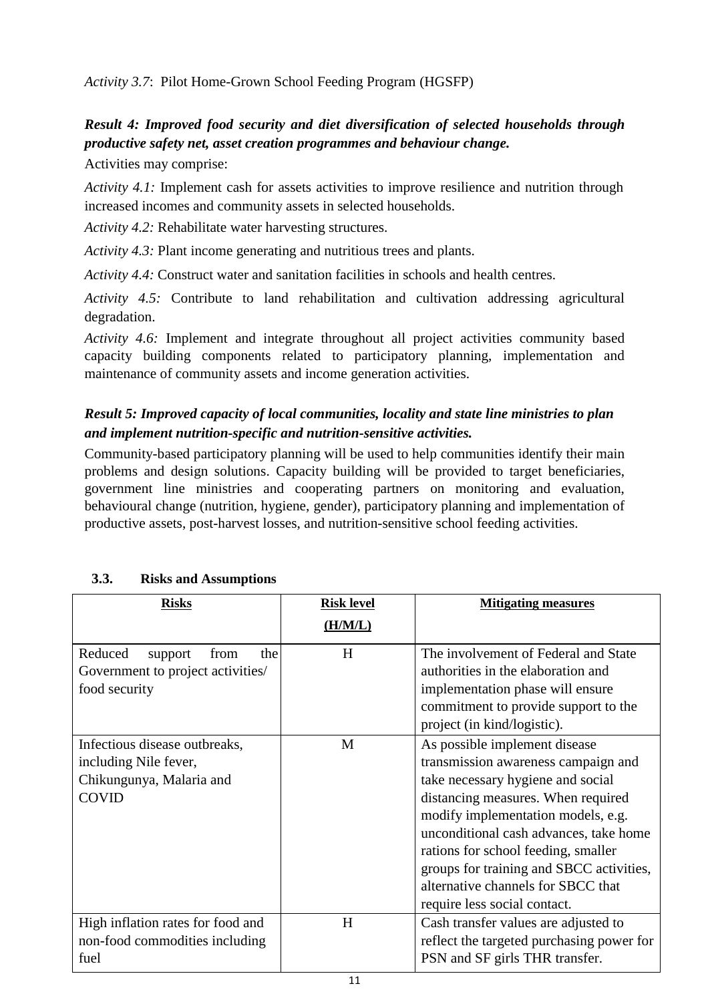*Activity 3.7*: Pilot Home-Grown School Feeding Program (HGSFP)

# *Result 4: Improved food security and diet diversification of selected households through productive safety net, asset creation programmes and behaviour change.*

Activities may comprise:

*Activity 4.1:* Implement cash for assets activities to improve resilience and nutrition through increased incomes and community assets in selected households.

*Activity 4.2:* Rehabilitate water harvesting structures.

*Activity 4.3:* Plant income generating and nutritious trees and plants.

*Activity 4.4:* Construct water and sanitation facilities in schools and health centres.

*Activity 4.5:* Contribute to land rehabilitation and cultivation addressing agricultural degradation.

*Activity 4.6:* Implement and integrate throughout all project activities community based capacity building components related to participatory planning, implementation and maintenance of community assets and income generation activities.

# *Result 5: Improved capacity of local communities, locality and state line ministries to plan and implement nutrition-specific and nutrition-sensitive activities.*

Community-based participatory planning will be used to help communities identify their main problems and design solutions. Capacity building will be provided to target beneficiaries, government line ministries and cooperating partners on monitoring and evaluation, behavioural change (nutrition, hygiene, gender), participatory planning and implementation of productive assets, post-harvest losses, and nutrition-sensitive school feeding activities.

| <b>Risks</b>                                                                                       | <b>Risk level</b> | <b>Mitigating measures</b>                                                                                                                                                                                                                                                                                                                                                               |
|----------------------------------------------------------------------------------------------------|-------------------|------------------------------------------------------------------------------------------------------------------------------------------------------------------------------------------------------------------------------------------------------------------------------------------------------------------------------------------------------------------------------------------|
|                                                                                                    | (H/M/L)           |                                                                                                                                                                                                                                                                                                                                                                                          |
| Reduced<br>support<br>from<br>the<br>Government to project activities/<br>food security            | H                 | The involvement of Federal and State<br>authorities in the elaboration and<br>implementation phase will ensure<br>commitment to provide support to the<br>project (in kind/logistic).                                                                                                                                                                                                    |
| Infectious disease outbreaks,<br>including Nile fever,<br>Chikungunya, Malaria and<br><b>COVID</b> | M                 | As possible implement disease<br>transmission awareness campaign and<br>take necessary hygiene and social<br>distancing measures. When required<br>modify implementation models, e.g.<br>unconditional cash advances, take home<br>rations for school feeding, smaller<br>groups for training and SBCC activities,<br>alternative channels for SBCC that<br>require less social contact. |
| High inflation rates for food and<br>non-food commodities including<br>fuel                        | H                 | Cash transfer values are adjusted to<br>reflect the targeted purchasing power for<br>PSN and SF girls THR transfer.                                                                                                                                                                                                                                                                      |

# **3.3. Risks and Assumptions**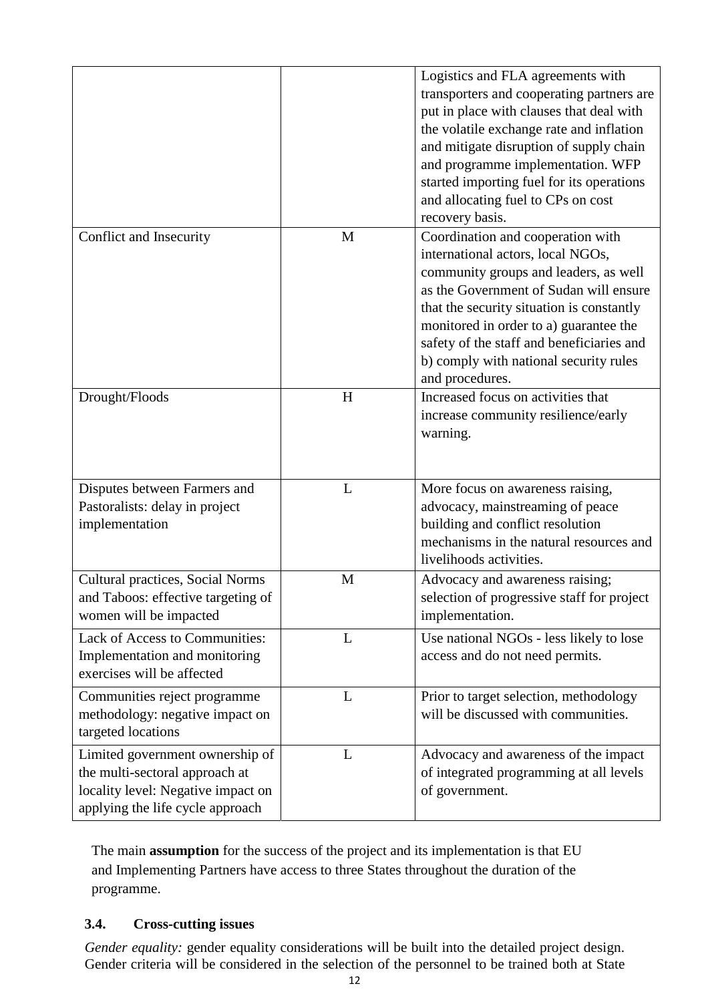|                                                                                                                                             |   | Logistics and FLA agreements with<br>transporters and cooperating partners are<br>put in place with clauses that deal with<br>the volatile exchange rate and inflation<br>and mitigate disruption of supply chain<br>and programme implementation. WFP<br>started importing fuel for its operations<br>and allocating fuel to CPs on cost<br>recovery basis. |
|---------------------------------------------------------------------------------------------------------------------------------------------|---|--------------------------------------------------------------------------------------------------------------------------------------------------------------------------------------------------------------------------------------------------------------------------------------------------------------------------------------------------------------|
| Conflict and Insecurity                                                                                                                     | M | Coordination and cooperation with<br>international actors, local NGOs,<br>community groups and leaders, as well<br>as the Government of Sudan will ensure<br>that the security situation is constantly<br>monitored in order to a) guarantee the<br>safety of the staff and beneficiaries and<br>b) comply with national security rules<br>and procedures.   |
| Drought/Floods                                                                                                                              | H | Increased focus on activities that<br>increase community resilience/early<br>warning.                                                                                                                                                                                                                                                                        |
| Disputes between Farmers and<br>Pastoralists: delay in project<br>implementation                                                            | L | More focus on awareness raising,<br>advocacy, mainstreaming of peace<br>building and conflict resolution<br>mechanisms in the natural resources and<br>livelihoods activities.                                                                                                                                                                               |
| <b>Cultural practices, Social Norms</b><br>and Taboos: effective targeting of<br>women will be impacted                                     | M | Advocacy and awareness raising;<br>selection of progressive staff for project<br>implementation.                                                                                                                                                                                                                                                             |
| Lack of Access to Communities:<br>Implementation and monitoring<br>exercises will be affected                                               | L | Use national NGOs - less likely to lose<br>access and do not need permits.                                                                                                                                                                                                                                                                                   |
| Communities reject programme<br>methodology: negative impact on<br>targeted locations                                                       | L | Prior to target selection, methodology<br>will be discussed with communities.                                                                                                                                                                                                                                                                                |
| Limited government ownership of<br>the multi-sectoral approach at<br>locality level: Negative impact on<br>applying the life cycle approach | L | Advocacy and awareness of the impact<br>of integrated programming at all levels<br>of government.                                                                                                                                                                                                                                                            |

The main **assumption** for the success of the project and its implementation is that EU and Implementing Partners have access to three States throughout the duration of the programme.

### **3.4. Cross-cutting issues**

*Gender equality:* gender equality considerations will be built into the detailed project design. Gender criteria will be considered in the selection of the personnel to be trained both at State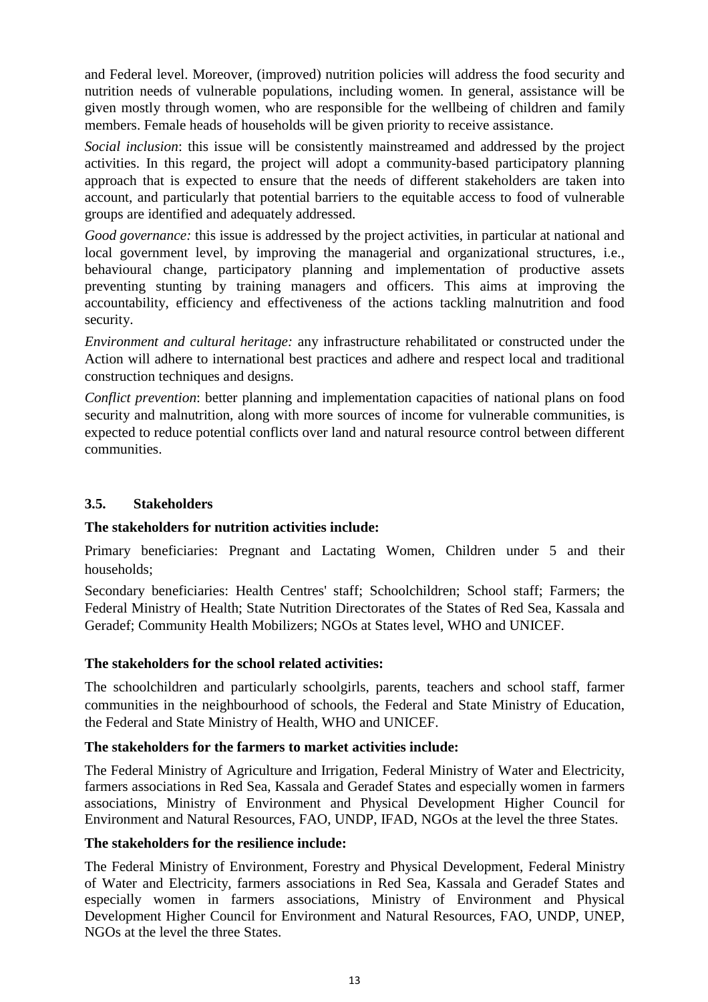and Federal level. Moreover, (improved) nutrition policies will address the food security and nutrition needs of vulnerable populations, including women*.* In general, assistance will be given mostly through women, who are responsible for the wellbeing of children and family members. Female heads of households will be given priority to receive assistance.

*Social inclusion*: this issue will be consistently mainstreamed and addressed by the project activities. In this regard, the project will adopt a community-based participatory planning approach that is expected to ensure that the needs of different stakeholders are taken into account, and particularly that potential barriers to the equitable access to food of vulnerable groups are identified and adequately addressed.

*Good governance:* this issue is addressed by the project activities, in particular at national and local government level, by improving the managerial and organizational structures, i.e., behavioural change, participatory planning and implementation of productive assets preventing stunting by training managers and officers. This aims at improving the accountability, efficiency and effectiveness of the actions tackling malnutrition and food security.

*Environment and cultural heritage:* any infrastructure rehabilitated or constructed under the Action will adhere to international best practices and adhere and respect local and traditional construction techniques and designs.

*Conflict prevention*: better planning and implementation capacities of national plans on food security and malnutrition, along with more sources of income for vulnerable communities, is expected to reduce potential conflicts over land and natural resource control between different communities.

# **3.5. Stakeholders**

### **The stakeholders for nutrition activities include:**

Primary beneficiaries: Pregnant and Lactating Women, Children under 5 and their households;

Secondary beneficiaries: Health Centres' staff; Schoolchildren; School staff; Farmers; the Federal Ministry of Health; State Nutrition Directorates of the States of Red Sea, Kassala and Geradef; Community Health Mobilizers; NGOs at States level, WHO and UNICEF.

### **The stakeholders for the school related activities:**

The schoolchildren and particularly schoolgirls, parents, teachers and school staff, farmer communities in the neighbourhood of schools, the Federal and State Ministry of Education, the Federal and State Ministry of Health, WHO and UNICEF.

### **The stakeholders for the farmers to market activities include:**

The Federal Ministry of Agriculture and Irrigation, Federal Ministry of Water and Electricity, farmers associations in Red Sea, Kassala and Geradef States and especially women in farmers associations, Ministry of Environment and Physical Development Higher Council for Environment and Natural Resources, FAO, UNDP, IFAD, NGOs at the level the three States.

### **The stakeholders for the resilience include:**

The Federal Ministry of Environment, Forestry and Physical Development, Federal Ministry of Water and Electricity, farmers associations in Red Sea, Kassala and Geradef States and especially women in farmers associations, Ministry of Environment and Physical Development Higher Council for Environment and Natural Resources, FAO, UNDP, UNEP, NGOs at the level the three States.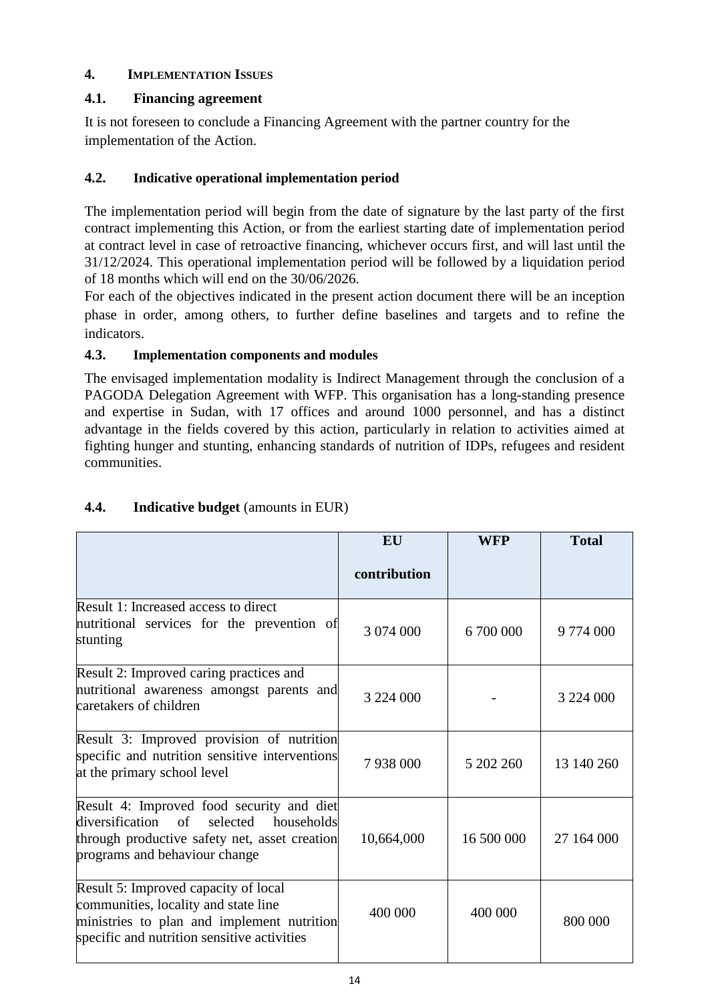# **4. IMPLEMENTATION ISSUES**

# **4.1. Financing agreement**

It is not foreseen to conclude a Financing Agreement with the partner country for the implementation of the Action.

## **4.2. Indicative operational implementation period**

The implementation period will begin from the date of signature by the last party of the first contract implementing this Action, or from the earliest starting date of implementation period at contract level in case of retroactive financing, whichever occurs first, and will last until the 31/12/2024. This operational implementation period will be followed by a liquidation period of 18 months which will end on the 30/06/2026.

For each of the objectives indicated in the present action document there will be an inception phase in order, among others, to further define baselines and targets and to refine the indicators.

### **4.3. Implementation components and modules**

The envisaged implementation modality is Indirect Management through the conclusion of a PAGODA Delegation Agreement with WFP. This organisation has a long-standing presence and expertise in Sudan, with 17 offices and around 1000 personnel, and has a distinct advantage in the fields covered by this action, particularly in relation to activities aimed at fighting hunger and stunting, enhancing standards of nutrition of IDPs, refugees and resident communities.

|                                                                                                                                                                             | EU           | WFP        | <b>Total</b>  |
|-----------------------------------------------------------------------------------------------------------------------------------------------------------------------------|--------------|------------|---------------|
|                                                                                                                                                                             | contribution |            |               |
| Result 1: Increased access to direct<br>nutritional services for the prevention of<br>stunting                                                                              | 3 074 000    | 6 700 000  | 9 774 000     |
| Result 2: Improved caring practices and<br>nutritional awareness amongst parents and<br>caretakers of children                                                              | 3 224 000    |            | 3 2 2 4 0 0 0 |
| Result 3: Improved provision of nutrition<br>specific and nutrition sensitive interventions<br>at the primary school level                                                  | 7938000      | 5 202 260  | 13 140 260    |
| Result 4: Improved food security and diet<br>diversification of<br>selected<br>households<br>through productive safety net, asset creation<br>programs and behaviour change | 10,664,000   | 16 500 000 | 27 164 000    |
| Result 5: Improved capacity of local<br>communities, locality and state line<br>ministries to plan and implement nutrition<br>specific and nutrition sensitive activities   | 400 000      | 400 000    | 800 000       |

# **4.4. Indicative budget** (amounts in EUR)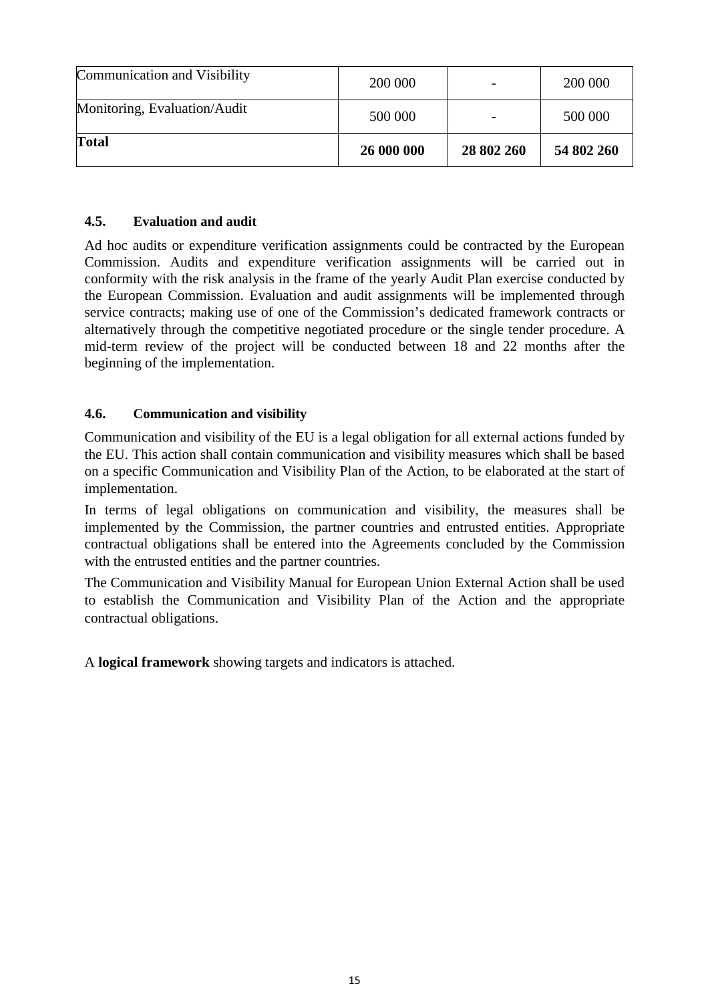| <b>Total</b>                 | 26 000 000 | 28 802 260 | 54 802 260 |
|------------------------------|------------|------------|------------|
| Monitoring, Evaluation/Audit | 500 000    |            | 500 000    |
| Communication and Visibility | 200 000    |            | 200 000    |

### **4.5. Evaluation and audit**

Ad hoc audits or expenditure verification assignments could be contracted by the European Commission. Audits and expenditure verification assignments will be carried out in conformity with the risk analysis in the frame of the yearly Audit Plan exercise conducted by the European Commission. Evaluation and audit assignments will be implemented through service contracts; making use of one of the Commission's dedicated framework contracts or alternatively through the competitive negotiated procedure or the single tender procedure. A mid-term review of the project will be conducted between 18 and 22 months after the beginning of the implementation.

### **4.6. Communication and visibility**

Communication and visibility of the EU is a legal obligation for all external actions funded by the EU. This action shall contain communication and visibility measures which shall be based on a specific Communication and Visibility Plan of the Action, to be elaborated at the start of implementation.

In terms of legal obligations on communication and visibility, the measures shall be implemented by the Commission, the partner countries and entrusted entities. Appropriate contractual obligations shall be entered into the Agreements concluded by the Commission with the entrusted entities and the partner countries.

The Communication and Visibility Manual for European Union External Action shall be used to establish the Communication and Visibility Plan of the Action and the appropriate contractual obligations.

A **logical framework** showing targets and indicators is attached.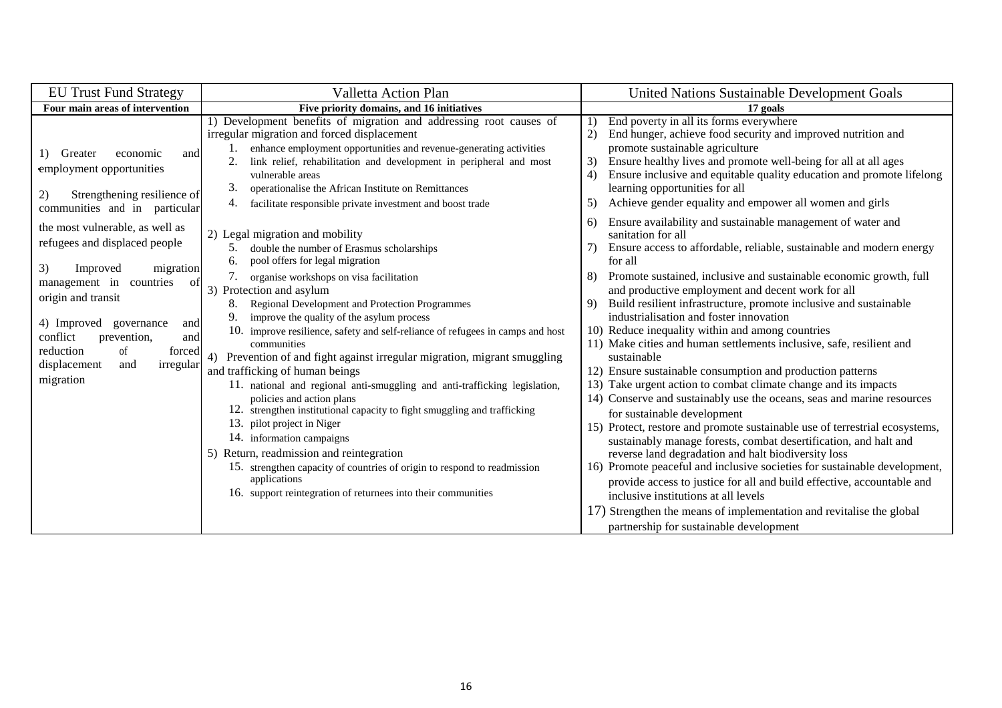| <b>EU Trust Fund Strategy</b>                                                                                                                                                                                                                                                                                                                          | Valletta Action Plan                                                                                                                                                                                                                                                                                                                                                                                                                                                                                                                                                                                                                                                                                                                                                                                                                                                                                                                                                                      | <b>United Nations Sustainable Development Goals</b>                                                                                                                                                                                                                                                                                                                                                                                                                                                                                                                                                                                                                                                                                                                                                                                                                                                                                                                                                                                                                                                                                                                                                                                   |
|--------------------------------------------------------------------------------------------------------------------------------------------------------------------------------------------------------------------------------------------------------------------------------------------------------------------------------------------------------|-------------------------------------------------------------------------------------------------------------------------------------------------------------------------------------------------------------------------------------------------------------------------------------------------------------------------------------------------------------------------------------------------------------------------------------------------------------------------------------------------------------------------------------------------------------------------------------------------------------------------------------------------------------------------------------------------------------------------------------------------------------------------------------------------------------------------------------------------------------------------------------------------------------------------------------------------------------------------------------------|---------------------------------------------------------------------------------------------------------------------------------------------------------------------------------------------------------------------------------------------------------------------------------------------------------------------------------------------------------------------------------------------------------------------------------------------------------------------------------------------------------------------------------------------------------------------------------------------------------------------------------------------------------------------------------------------------------------------------------------------------------------------------------------------------------------------------------------------------------------------------------------------------------------------------------------------------------------------------------------------------------------------------------------------------------------------------------------------------------------------------------------------------------------------------------------------------------------------------------------|
| Four main areas of intervention                                                                                                                                                                                                                                                                                                                        | Five priority domains, and 16 initiatives                                                                                                                                                                                                                                                                                                                                                                                                                                                                                                                                                                                                                                                                                                                                                                                                                                                                                                                                                 | 17 goals                                                                                                                                                                                                                                                                                                                                                                                                                                                                                                                                                                                                                                                                                                                                                                                                                                                                                                                                                                                                                                                                                                                                                                                                                              |
|                                                                                                                                                                                                                                                                                                                                                        | 1) Development benefits of migration and addressing root causes of<br>irregular migration and forced displacement                                                                                                                                                                                                                                                                                                                                                                                                                                                                                                                                                                                                                                                                                                                                                                                                                                                                         | End poverty in all its forms everywhere<br>End hunger, achieve food security and improved nutrition and<br>(2)                                                                                                                                                                                                                                                                                                                                                                                                                                                                                                                                                                                                                                                                                                                                                                                                                                                                                                                                                                                                                                                                                                                        |
| economic<br>Greater<br>1)<br>and<br>employment opportunities<br>Strengthening resilience of<br>2)                                                                                                                                                                                                                                                      | enhance employment opportunities and revenue-generating activities<br>link relief, rehabilitation and development in peripheral and most<br>vulnerable areas<br>3.<br>operationalise the African Institute on Remittances<br>4.<br>facilitate responsible private investment and boost trade                                                                                                                                                                                                                                                                                                                                                                                                                                                                                                                                                                                                                                                                                              | promote sustainable agriculture<br>Ensure healthy lives and promote well-being for all at all ages<br>3)<br>Ensure inclusive and equitable quality education and promote lifelong<br>4)<br>learning opportunities for all<br>Achieve gender equality and empower all women and girls<br>5)                                                                                                                                                                                                                                                                                                                                                                                                                                                                                                                                                                                                                                                                                                                                                                                                                                                                                                                                            |
| communities and in particular<br>the most vulnerable, as well as<br>refugees and displaced people<br>3)<br>Improved<br>migration<br>management in countries<br>of<br>origin and transit<br>4) Improved<br>governance<br>and<br>conflict<br>prevention,<br>and<br><sub>of</sub><br>reduction<br>forced<br>displacement<br>irregular<br>and<br>migration | 2) Legal migration and mobility<br>double the number of Erasmus scholarships<br>5.<br>pool offers for legal migration<br>6.<br>organise workshops on visa facilitation<br>3) Protection and asylum<br>Regional Development and Protection Programmes<br>8.<br>9.<br>improve the quality of the asylum process<br>10. improve resilience, safety and self-reliance of refugees in camps and host<br>communities<br>Prevention of and fight against irregular migration, migrant smuggling<br>and trafficking of human beings<br>11. national and regional anti-smuggling and anti-trafficking legislation,<br>policies and action plans<br>12. strengthen institutional capacity to fight smuggling and trafficking<br>13. pilot project in Niger<br>14. information campaigns<br>Return, readmission and reintegration<br>5)<br>15. strengthen capacity of countries of origin to respond to readmission<br>applications<br>16. support reintegration of returnees into their communities | Ensure availability and sustainable management of water and<br>6)<br>sanitation for all<br>Ensure access to affordable, reliable, sustainable and modern energy<br>7)<br>for all<br>Promote sustained, inclusive and sustainable economic growth, full<br>8)<br>and productive employment and decent work for all<br>Build resilient infrastructure, promote inclusive and sustainable<br>9)<br>industrialisation and foster innovation<br>10) Reduce inequality within and among countries<br>11) Make cities and human settlements inclusive, safe, resilient and<br>sustainable<br>12) Ensure sustainable consumption and production patterns<br>13) Take urgent action to combat climate change and its impacts<br>14) Conserve and sustainably use the oceans, seas and marine resources<br>for sustainable development<br>15) Protect, restore and promote sustainable use of terrestrial ecosystems,<br>sustainably manage forests, combat desertification, and halt and<br>reverse land degradation and halt biodiversity loss<br>16) Promote peaceful and inclusive societies for sustainable development,<br>provide access to justice for all and build effective, accountable and<br>inclusive institutions at all levels |
|                                                                                                                                                                                                                                                                                                                                                        |                                                                                                                                                                                                                                                                                                                                                                                                                                                                                                                                                                                                                                                                                                                                                                                                                                                                                                                                                                                           | 17) Strengthen the means of implementation and revitalise the global<br>partnership for sustainable development                                                                                                                                                                                                                                                                                                                                                                                                                                                                                                                                                                                                                                                                                                                                                                                                                                                                                                                                                                                                                                                                                                                       |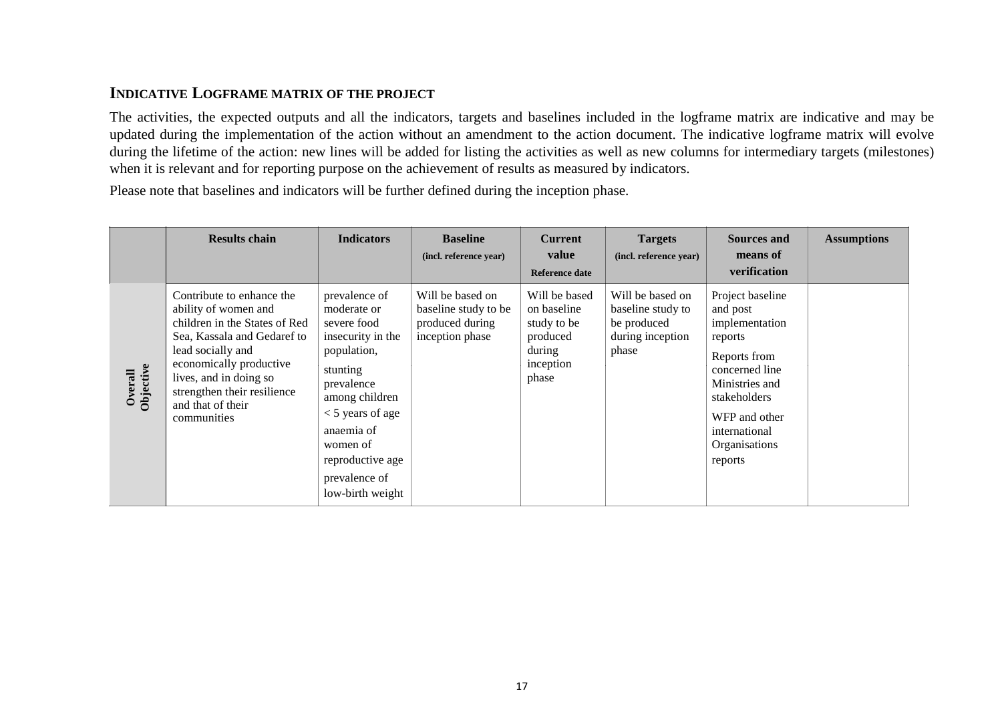# **INDICATIVE LOGFRAME MATRIX OF THE PROJECT**

The activities, the expected outputs and all the indicators, targets and baselines included in the logframe matrix are indicative and may be updated during the implementation of the action without an amendment to the action document. The indicative logframe matrix will evolve during the lifetime of the action: new lines will be added for listing the activities as well as new columns for intermediary targets (milestones) when it is relevant and for reporting purpose on the achievement of results as measured by indicators.

Please note that baselines and indicators will be further defined during the inception phase.

|                      | <b>Results chain</b>                                                                                                                                                                                                                                           | <b>Indicators</b>                                                                                                                                                                                                                    | <b>Baseline</b><br>(incl. reference year)                                      | <b>Current</b><br>value<br><b>Reference date</b>                                        | <b>Targets</b><br>(incl. reference year)                                          | <b>Sources and</b><br>means of<br>verification                                                                                                                                              | <b>Assumptions</b> |
|----------------------|----------------------------------------------------------------------------------------------------------------------------------------------------------------------------------------------------------------------------------------------------------------|--------------------------------------------------------------------------------------------------------------------------------------------------------------------------------------------------------------------------------------|--------------------------------------------------------------------------------|-----------------------------------------------------------------------------------------|-----------------------------------------------------------------------------------|---------------------------------------------------------------------------------------------------------------------------------------------------------------------------------------------|--------------------|
| Overall<br>Objective | Contribute to enhance the<br>ability of women and<br>children in the States of Red<br>Sea, Kassala and Gedaref to<br>lead socially and<br>economically productive<br>lives, and in doing so<br>strengthen their resilience<br>and that of their<br>communities | prevalence of<br>moderate or<br>severe food<br>insecurity in the<br>population,<br>stunting<br>prevalence<br>among children<br>$<$ 5 years of age<br>anaemia of<br>women of<br>reproductive age<br>prevalence of<br>low-birth weight | Will be based on<br>baseline study to be<br>produced during<br>inception phase | Will be based<br>on baseline<br>study to be<br>produced<br>during<br>inception<br>phase | Will be based on<br>baseline study to<br>be produced<br>during inception<br>phase | Project baseline<br>and post<br>implementation<br>reports<br>Reports from<br>concerned line<br>Ministries and<br>stakeholders<br>WFP and other<br>international<br>Organisations<br>reports |                    |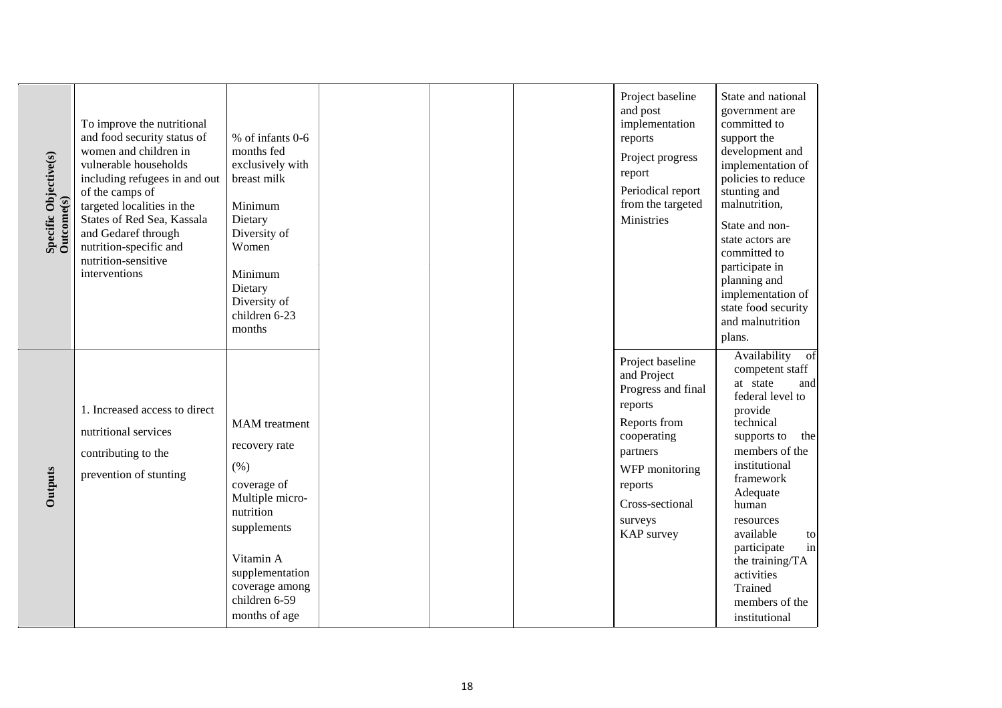| Specific Objective(s)<br>Outcome(s) | To improve the nutritional<br>and food security status of<br>women and children in<br>vulnerable households<br>including refugees in and out<br>of the camps of<br>targeted localities in the<br>States of Red Sea, Kassala<br>and Gedaref through<br>nutrition-specific and<br>nutrition-sensitive<br>interventions | % of infants 0-6<br>months fed<br>exclusively with<br>breast milk<br>Minimum<br>Dietary<br>Diversity of<br>Women<br>Minimum<br>Dietary<br>Diversity of<br>children 6-23<br>months               |  | Project baseline<br>and post<br>implementation<br>reports<br>Project progress<br>report<br>Periodical report<br>from the targeted<br>Ministries                                      | State and national<br>government are<br>committed to<br>support the<br>development and<br>implementation of<br>policies to reduce<br>stunting and<br>malnutrition,<br>State and non-<br>state actors are<br>committed to<br>participate in<br>planning and<br>implementation of<br>state food security<br>and malnutrition<br>plans. |
|-------------------------------------|----------------------------------------------------------------------------------------------------------------------------------------------------------------------------------------------------------------------------------------------------------------------------------------------------------------------|-------------------------------------------------------------------------------------------------------------------------------------------------------------------------------------------------|--|--------------------------------------------------------------------------------------------------------------------------------------------------------------------------------------|--------------------------------------------------------------------------------------------------------------------------------------------------------------------------------------------------------------------------------------------------------------------------------------------------------------------------------------|
| Outputs                             | 1. Increased access to direct<br>nutritional services<br>contributing to the<br>prevention of stunting                                                                                                                                                                                                               | <b>MAM</b> treatment<br>recovery rate<br>(% )<br>coverage of<br>Multiple micro-<br>nutrition<br>supplements<br>Vitamin A<br>supplementation<br>coverage among<br>children 6-59<br>months of age |  | Project baseline<br>and Project<br>Progress and final<br>reports<br>Reports from<br>cooperating<br>partners<br>WFP monitoring<br>reports<br>Cross-sectional<br>surveys<br>KAP survey | Availability of<br>competent staff<br>at state<br>and<br>federal level to<br>provide<br>technical<br>supports to<br>the<br>members of the<br>institutional<br>framework<br>Adequate<br>human<br>resources<br>available<br>to<br>participate<br>in<br>the training/TA<br>activities<br>Trained<br>members of the<br>institutional     |

18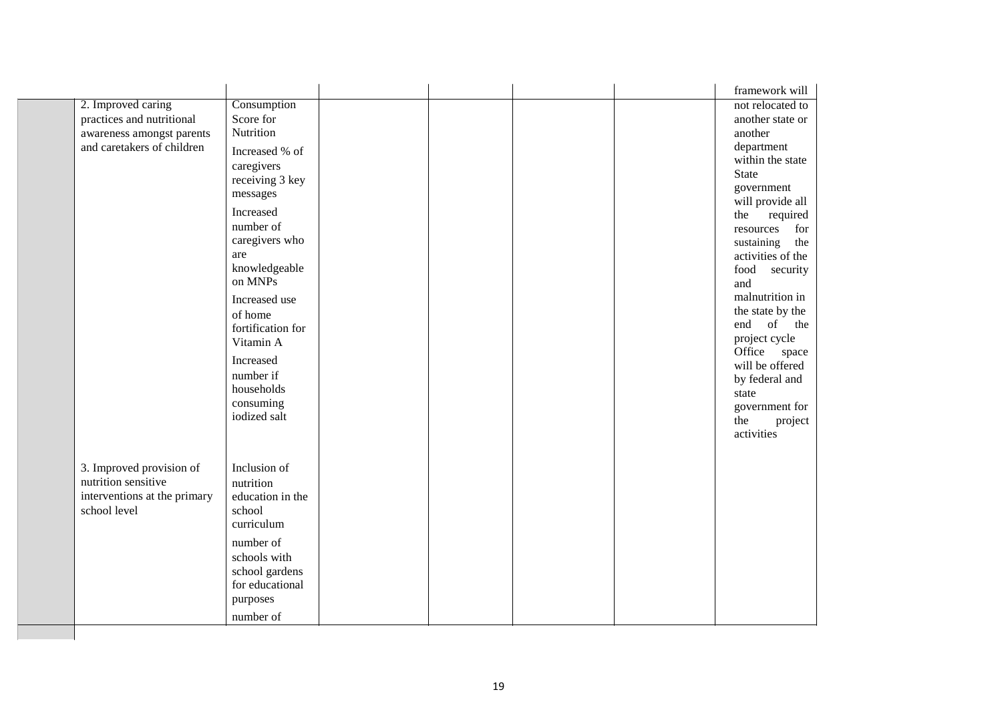|                              |                   |  |  | framework will                   |
|------------------------------|-------------------|--|--|----------------------------------|
| 2. Improved caring           | Consumption       |  |  | not relocated to                 |
| practices and nutritional    | Score for         |  |  | another state or                 |
| awareness amongst parents    | Nutrition         |  |  | another                          |
| and caretakers of children   | Increased % of    |  |  | department                       |
|                              | caregivers        |  |  | within the state<br><b>State</b> |
|                              | receiving 3 key   |  |  |                                  |
|                              | messages          |  |  | government<br>will provide all   |
|                              | Increased         |  |  | the<br>required                  |
|                              | number of         |  |  | resources<br>for                 |
|                              | caregivers who    |  |  | sustaining<br>the                |
|                              | are               |  |  | activities of the                |
|                              | knowledgeable     |  |  | food security                    |
|                              | on MNPs           |  |  | and                              |
|                              | Increased use     |  |  | malnutrition in                  |
|                              | of home           |  |  | the state by the                 |
|                              | fortification for |  |  | of<br>end<br>the                 |
|                              | Vitamin A         |  |  | project cycle                    |
|                              | Increased         |  |  | Office space                     |
|                              | number if         |  |  | will be offered                  |
|                              | households        |  |  | by federal and                   |
|                              | consuming         |  |  | state                            |
|                              | iodized salt      |  |  | government for                   |
|                              |                   |  |  | the<br>project                   |
|                              |                   |  |  | activities                       |
|                              |                   |  |  |                                  |
| 3. Improved provision of     | Inclusion of      |  |  |                                  |
| nutrition sensitive          | nutrition         |  |  |                                  |
| interventions at the primary | education in the  |  |  |                                  |
| school level                 | school            |  |  |                                  |
|                              | curriculum        |  |  |                                  |
|                              | number of         |  |  |                                  |
|                              | schools with      |  |  |                                  |
|                              | school gardens    |  |  |                                  |
|                              | for educational   |  |  |                                  |
|                              | purposes          |  |  |                                  |
|                              | number of         |  |  |                                  |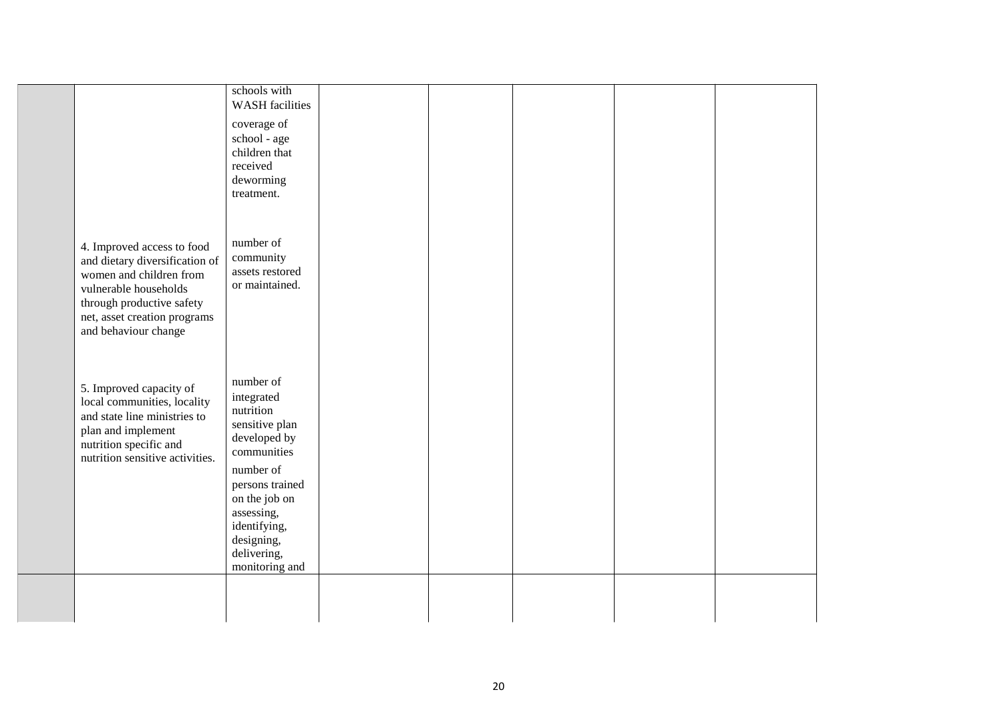|                                                              | schools with<br><b>WASH</b> facilities |  |  |  |
|--------------------------------------------------------------|----------------------------------------|--|--|--|
|                                                              | coverage of                            |  |  |  |
|                                                              | school - age                           |  |  |  |
|                                                              | children that                          |  |  |  |
|                                                              | received                               |  |  |  |
|                                                              | deworming<br>treatment.                |  |  |  |
|                                                              |                                        |  |  |  |
|                                                              |                                        |  |  |  |
|                                                              | number of                              |  |  |  |
| 4. Improved access to food<br>and dietary diversification of | community                              |  |  |  |
| women and children from                                      | assets restored                        |  |  |  |
| vulnerable households                                        | or maintained.                         |  |  |  |
| through productive safety                                    |                                        |  |  |  |
| net, asset creation programs                                 |                                        |  |  |  |
| and behaviour change                                         |                                        |  |  |  |
|                                                              |                                        |  |  |  |
|                                                              |                                        |  |  |  |
| 5. Improved capacity of                                      | number of                              |  |  |  |
| local communities, locality                                  | integrated<br>nutrition                |  |  |  |
| and state line ministries to                                 | sensitive plan                         |  |  |  |
| plan and implement<br>nutrition specific and                 | developed by                           |  |  |  |
| nutrition sensitive activities.                              | communities                            |  |  |  |
|                                                              | number of                              |  |  |  |
|                                                              | persons trained                        |  |  |  |
|                                                              | on the job on                          |  |  |  |
|                                                              | assessing,<br>identifying,             |  |  |  |
|                                                              | designing,                             |  |  |  |
|                                                              | delivering,                            |  |  |  |
|                                                              | monitoring and                         |  |  |  |
|                                                              |                                        |  |  |  |
|                                                              |                                        |  |  |  |
|                                                              |                                        |  |  |  |